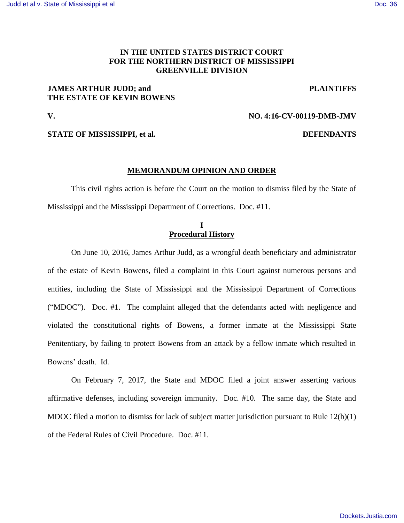## **IN THE UNITED STATES DISTRICT COURT FOR THE NORTHERN DISTRICT OF MISSISSIPPI GREENVILLE DIVISION**

# **JAMES ARTHUR JUDD; and THE ESTATE OF KEVIN BOWENS**

#### **PLAINTIFFS**

## **V. NO. 4:16-CV-00119-DMB-JMV**

**STATE OF MISSISSIPPI, et al. DEFENDANTS** 

### **MEMORANDUM OPINION AND ORDER**

This civil rights action is before the Court on the motion to dismiss filed by the State of Mississippi and the Mississippi Department of Corrections. Doc. #11.

## **I Procedural History**

On June 10, 2016, James Arthur Judd, as a wrongful death beneficiary and administrator of the estate of Kevin Bowens, filed a complaint in this Court against numerous persons and entities, including the State of Mississippi and the Mississippi Department of Corrections ("MDOC"). Doc. #1. The complaint alleged that the defendants acted with negligence and violated the constitutional rights of Bowens, a former inmate at the Mississippi State Penitentiary, by failing to protect Bowens from an attack by a fellow inmate which resulted in Bowens' death. Id.

On February 7, 2017, the State and MDOC filed a joint answer asserting various affirmative defenses, including sovereign immunity. Doc. #10. The same day, the State and MDOC filed a motion to dismiss for lack of subject matter jurisdiction pursuant to Rule 12(b)(1) of the Federal Rules of Civil Procedure. Doc. #11.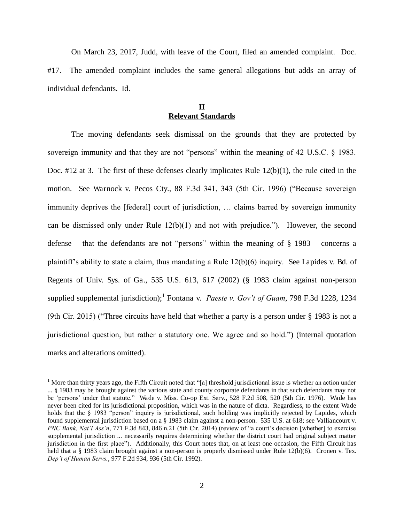On March 23, 2017, Judd, with leave of the Court, filed an amended complaint. Doc. #17. The amended complaint includes the same general allegations but adds an array of individual defendants. Id.

## **II Relevant Standards**

The moving defendants seek dismissal on the grounds that they are protected by sovereign immunity and that they are not "persons" within the meaning of 42 U.S.C. § 1983. Doc. #12 at 3. The first of these defenses clearly implicates Rule 12(b)(1), the rule cited in the motion. See Warnock v. Pecos Cty., 88 F.3d 341, 343 (5th Cir. 1996) ("Because sovereign immunity deprives the [federal] court of jurisdiction, … claims barred by sovereign immunity can be dismissed only under Rule 12(b)(1) and not with prejudice."). However, the second defense – that the defendants are not "persons" within the meaning of § 1983 – concerns a plaintiff's ability to state a claim, thus mandating a Rule 12(b)(6) inquiry. See Lapides v. Bd. of Regents of Univ. Sys. of Ga., 535 U.S. 613, 617 (2002) (§ 1983 claim against non-person supplied supplemental jurisdiction);<sup>1</sup> Fontana v. *Paeste v. Gov't of Guam*, 798 F.3d 1228, 1234 (9th Cir. 2015) ("Three circuits have held that whether a party is a person under § 1983 is not a jurisdictional question, but rather a statutory one. We agree and so hold.") (internal quotation marks and alterations omitted).

<sup>&</sup>lt;sup>1</sup> More than thirty years ago, the Fifth Circuit noted that "[a] threshold jurisdictional issue is whether an action under ... § 1983 may be brought against the various state and county corporate defendants in that such defendants may not be 'persons' under that statute." Wade v. Miss. Co-op Ext. Serv., 528 F.2d 508, 520 (5th Cir. 1976). Wade has never been cited for its jurisdictional proposition, which was in the nature of dicta. Regardless, to the extent Wade holds that the § 1983 "person" inquiry is jurisdictional, such holding was implicitly rejected by Lapides, which found supplemental jurisdiction based on a § 1983 claim against a non-person. 535 U.S. at 618; see Valliancourt v. *PNC Bank, Nat'l Ass'n*, 771 F.3d 843, 846 n.21 (5th Cir. 2014) (review of "a court's decision [whether] to exercise supplemental jurisdiction ... necessarily requires determining whether the district court had original subject matter jurisdiction in the first place"). Additionally, this Court notes that, on at least one occasion, the Fifth Circuit has held that a § 1983 claim brought against a non-person is properly dismissed under Rule 12(b)(6). Cronen v. Tex. *Dep't of Human Servs.*, 977 F.2d 934, 936 (5th Cir. 1992).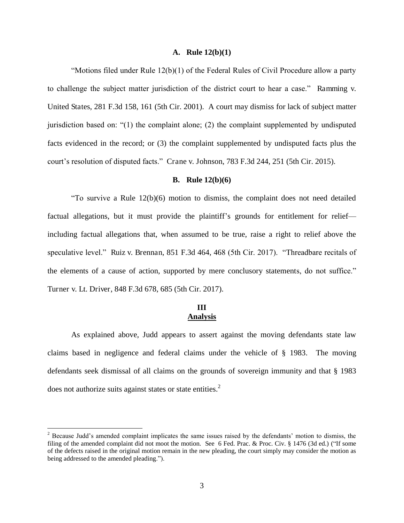### **A. Rule 12(b)(1)**

"Motions filed under Rule  $12(b)(1)$  of the Federal Rules of Civil Procedure allow a party to challenge the subject matter jurisdiction of the district court to hear a case." Ramming v. United States, 281 F.3d 158, 161 (5th Cir. 2001). A court may dismiss for lack of subject matter jurisdiction based on: "(1) the complaint alone; (2) the complaint supplemented by undisputed facts evidenced in the record; or (3) the complaint supplemented by undisputed facts plus the court's resolution of disputed facts." Crane v. Johnson, 783 F.3d 244, 251 (5th Cir. 2015).

### **B. Rule 12(b)(6)**

"To survive a Rule 12(b)(6) motion to dismiss, the complaint does not need detailed factual allegations, but it must provide the plaintiff's grounds for entitlement for relief including factual allegations that, when assumed to be true, raise a right to relief above the speculative level." Ruiz v. Brennan, 851 F.3d 464, 468 (5th Cir. 2017). "Threadbare recitals of the elements of a cause of action, supported by mere conclusory statements, do not suffice." Turner v. Lt. Driver, 848 F.3d 678, 685 (5th Cir. 2017).

# **III Analysis**

 As explained above, Judd appears to assert against the moving defendants state law claims based in negligence and federal claims under the vehicle of § 1983. The moving defendants seek dismissal of all claims on the grounds of sovereign immunity and that § 1983 does not authorize suits against states or state entities. $2$ 

<sup>&</sup>lt;sup>2</sup> Because Judd's amended complaint implicates the same issues raised by the defendants' motion to dismiss, the filing of the amended complaint did not moot the motion. See 6 Fed. Prac. & Proc. Civ. § 1476 (3d ed.) ("If some of the defects raised in the original motion remain in the new pleading, the court simply may consider the motion as being addressed to the amended pleading.").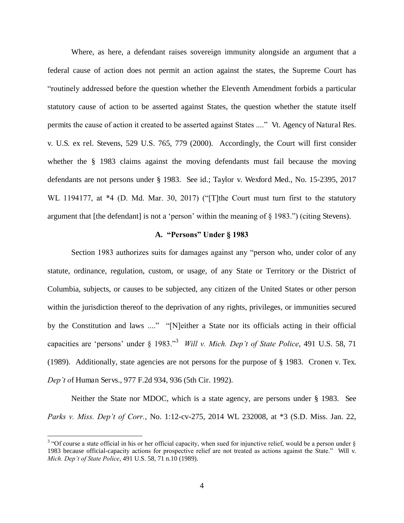Where, as here, a defendant raises sovereign immunity alongside an argument that a federal cause of action does not permit an action against the states, the Supreme Court has "routinely addressed before the question whether the Eleventh Amendment forbids a particular statutory cause of action to be asserted against States, the question whether the statute itself permits the cause of action it created to be asserted against States ...." Vt. Agency of Natural Res. v. U.S. ex rel. Stevens, 529 U.S. 765, 779 (2000). Accordingly, the Court will first consider whether the § 1983 claims against the moving defendants must fail because the moving defendants are not persons under § 1983. See id.; Taylor v. Wexford Med., No. 15-2395, 2017 WL 1194177, at  $*4$  (D. Md. Mar. 30, 2017) ("The Court must turn first to the statutory argument that [the defendant] is not a 'person' within the meaning of § 1983.") (citing Stevens).

#### **A. "Persons" Under § 1983**

Section 1983 authorizes suits for damages against any "person who, under color of any statute, ordinance, regulation, custom, or usage, of any State or Territory or the District of Columbia, subjects, or causes to be subjected, any citizen of the United States or other person within the jurisdiction thereof to the deprivation of any rights, privileges, or immunities secured by the Constitution and laws ...." "[N]either a State nor its officials acting in their official capacities are 'persons' under § 1983."<sup>3</sup> *Will v. Mich. Dep't of State Police*, 491 U.S. 58, 71 (1989). Additionally, state agencies are not persons for the purpose of § 1983. Cronen v. Tex. *Dep't o*f Human Servs., 977 F.2d 934, 936 (5th Cir. 1992).

Neither the State nor MDOC, which is a state agency, are persons under § 1983. See *Parks v. Miss. Dep't of Corr.*, No. 1:12-cv-275, 2014 WL 232008, at \*3 (S.D. Miss. Jan. 22,

<sup>&</sup>lt;sup>3</sup> "Of course a state official in his or her official capacity, when sued for injunctive relief, would be a person under  $\S$ 1983 because official-capacity actions for prospective relief are not treated as actions against the State." Will v. *Mich. Dep't of State Police*, 491 U.S. 58, 71 n.10 (1989).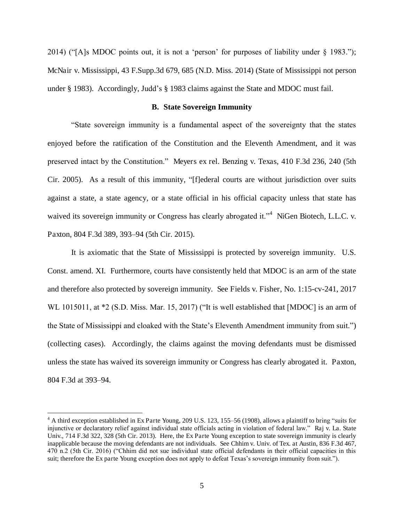2014) ("[A]s MDOC points out, it is not a 'person' for purposes of liability under § 1983."); McNair v. Mississippi, 43 F.Supp.3d 679, 685 (N.D. Miss. 2014) (State of Mississippi not person under § 1983). Accordingly, Judd's § 1983 claims against the State and MDOC must fail.

#### **B. State Sovereign Immunity**

"State sovereign immunity is a fundamental aspect of the sovereignty that the states enjoyed before the ratification of the Constitution and the Eleventh Amendment, and it was preserved intact by the Constitution." Meyers ex rel. Benzing v. Texas, 410 F.3d 236, 240 (5th Cir. 2005). As a result of this immunity, "[f]ederal courts are without jurisdiction over suits against a state, a state agency, or a state official in his official capacity unless that state has waived its sovereign immunity or Congress has clearly abrogated it."<sup>4</sup> NiGen Biotech, L.L.C. v. Paxton, 804 F.3d 389, 393–94 (5th Cir. 2015).

It is axiomatic that the State of Mississippi is protected by sovereign immunity. U.S. Const. amend. XI. Furthermore, courts have consistently held that MDOC is an arm of the state and therefore also protected by sovereign immunity. See Fields v. Fisher, No. 1:15-cv-241, 2017 WL 1015011, at  $*2$  (S.D. Miss. Mar. 15, 2017) ("It is well established that [MDOC] is an arm of the State of Mississippi and cloaked with the State's Eleventh Amendment immunity from suit.") (collecting cases). Accordingly, the claims against the moving defendants must be dismissed unless the state has waived its sovereign immunity or Congress has clearly abrogated it. Paxton, 804 F.3d at 393–94.

<sup>&</sup>lt;sup>4</sup> A third exception established in Ex Parte Young, 209 U.S. 123, 155–56 (1908), allows a plaintiff to bring "suits for injunctive or declaratory relief against individual state officials acting in violation of federal law." Raj v. La. State Univ., 714 F.3d 322, 328 (5th Cir. 2013). Here, the Ex Parte Young exception to state sovereign immunity is clearly inapplicable because the moving defendants are not individuals. See Chhim v. Univ. of Tex. at Austin, 836 F.3d 467, 470 n.2 (5th Cir. 2016) ("Chhim did not sue individual state official defendants in their official capacities in this suit; therefore the Ex parte Young exception does not apply to defeat Texas's sovereign immunity from suit.").